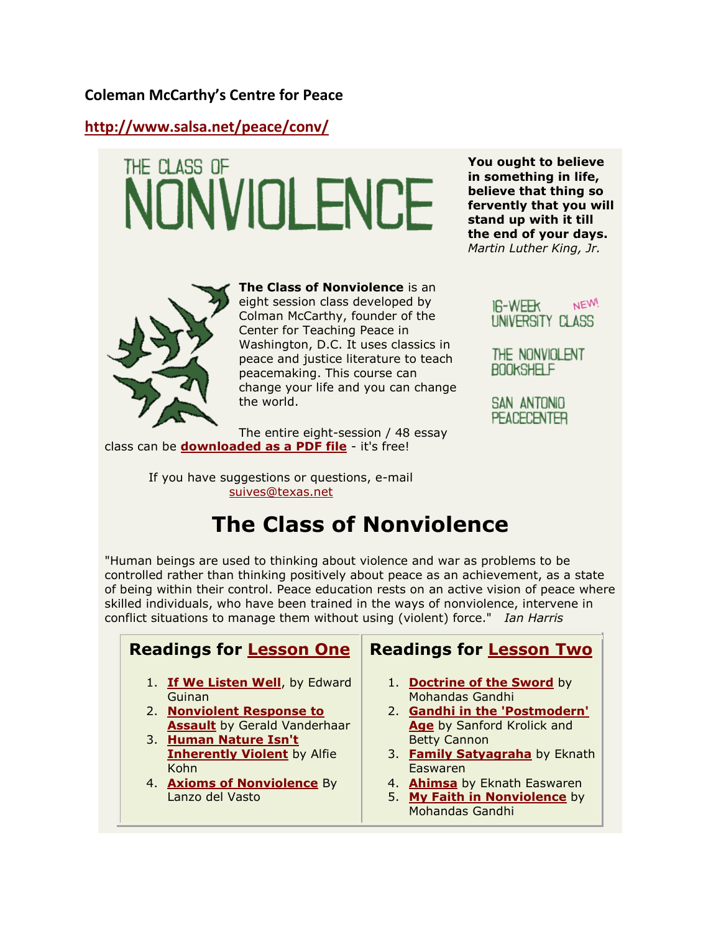#### **Coleman McCarthy's Centre for Peace**

**<http://www.salsa.net/peace/conv/>**

# THE CLASS OF NONVIOLENCE



**The Class of Nonviolence** is an eight session class developed by Colman McCarthy, founder of the Center for Teaching Peace in Washington, D.C. It uses classics in peace and justice literature to teach peacemaking. This course can change your life and you can change the world.

The entire eight-session / 48 essay class can be **[downloaded as a PDF file](http://salsa.net/peace/conv/classofnonviolence12jan.pdf)** - it's free!

> If you have suggestions or questions, e-mail [suives@texas.net](mailto:suives@texas.net)

# **The Class of Nonviolence**

"Human beings are used to thinking about violence and war as problems to be controlled rather than thinking positively about peace as an achievement, as a state of being within their control. Peace education rests on an active vision of peace where skilled individuals, who have been trained in the ways of nonviolence, intervene in conflict situations to manage them without using (violent) force." *Ian Harris*

#### **Readings for [Lesson One](http://salsa.net/peace/conv/hs8weekconv1.html)** 1. **[If We Listen Well](http://salsa.net/peace/conv/8weekconv1-1.html)**, by Edward Guinan 2. **[Nonviolent Response to](http://salsa.net/peace/conv/hs8weekconv1-3.html) [Assault](http://salsa.net/peace/conv/hs8weekconv1-3.html)** by Gerald Vanderhaar 3. **[Human Nature Isn't](http://salsa.net/peace/conv/8weekconv1-4.html)  [Inherently Violent](http://salsa.net/peace/conv/8weekconv1-4.html)** by Alfie Kohn 4. **[Axioms of Nonviolence](http://salsa.net/peace/conv/hs8weekconv1-5.html)** By Lanzo del Vasto **Readings for [Lesson Two](http://salsa.net/peace/conv/hs8weekconv2.html)** 1. **[Doctrine of the Sword](http://salsa.net/peace/conv/8weekconv2-1.html)** by Mohandas Gandhi 2. **[Gandhi in the 'Postmodern'](http://salsa.net/peace/conv/8weekconv2-2.html)  [Age](http://salsa.net/peace/conv/8weekconv2-2.html)** by Sanford Krolick and Betty Cannon 3. **[Family Satyagraha](http://salsa.net/peace/conv/8weekconv2-3.html)** by Eknath Easwaren 4. **[Ahimsa](http://salsa.net/peace/conv/8weekconv2-4.html)** by Eknath Easwaren 5. **[My Faith in Nonviolence](http://salsa.net/peace/conv/8weekconv2-5.html)** by Mohandas Gandhi

**You ought to believe in something in life, believe that thing so fervently that you will stand up with it till the end of your days.** *Martin Luther King, Jr.*

> NEW! **IR-WEEK** UNIVERSITY CLASS

THE NONVIOLENT **BOOKSHELF** 

SAN ANTONIO **PEACECENTER**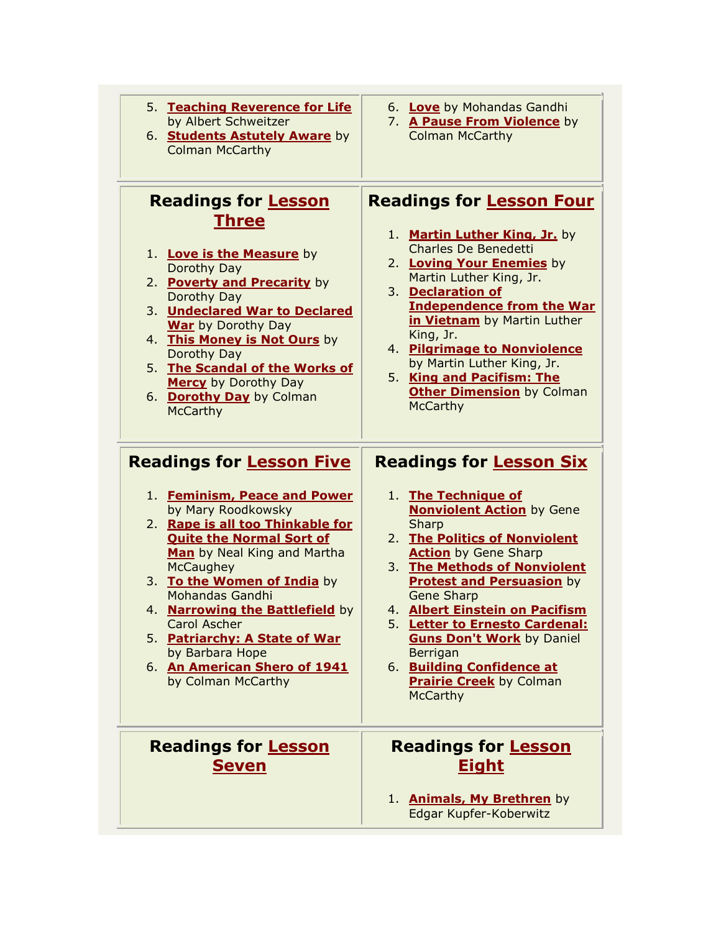- 5. **[Teaching Reverence for Life](http://salsa.net/peace/conv/8weekconv1-6.html)** by Albert Schweitzer
- 6. **[Students Astutely Aware](http://salsa.net/peace/conv/8weekconv1-7.html)** by Colman McCarthy

#### **Readings for [Lesson](http://salsa.net/peace/conv/hs8weekconv3.html)  [Three](http://salsa.net/peace/conv/hs8weekconv3.html)**

- 1. **[Love is the Measure](http://salsa.net/peace/conv/hs8weekconv3-1.html)** by Dorothy Day
- 2. **[Poverty and Precarity](http://salsa.net/peace/conv/hs8weekconv3-2.html)** by Dorothy Day
- 3. **[Undeclared War to Declared](http://salsa.net/peace/conv/8weekconv3-3.html)  [War](http://salsa.net/peace/conv/8weekconv3-3.html)** by Dorothy Day
- 4. **[This Money is Not Ours](http://salsa.net/peace/conv/8weekconv3-5.html)** by Dorothy Day
- 5. **[The Scandal of the Works of](http://salsa.net/peace/conv/8weekconv3-4.html)  [Mercy](http://salsa.net/peace/conv/8weekconv3-4.html)** by Dorothy Day
- 6. **[Dorothy Day](http://salsa.net/peace/conv/8weekconv3-6.html)** by Colman **McCarthy**

#### 6. **[Love](http://salsa.net/peace/conv/8weekconv2-6.html)** by Mohandas Gandhi

7. **[A Pause From Violence](http://salsa.net/peace/conv/8weekconv2-7.html)** by Colman McCarthy

#### **Readings for [Lesson Four](http://salsa.net/peace/conv/hs8weekconv4.html)**

- 1. **[Martin Luther King, Jr.](http://salsa.net/peace/conv/8weekconv4-1.html)** by Charles De Benedetti
- 2. **[Loving Your](http://salsa.net/peace/conv/8weekconv4-2.html) Enemies** by Martin Luther King, Jr.
- 3. **[Declaration of](http://salsa.net/peace/conv/8weekconv4-3.html)  [Independence from the War](http://salsa.net/peace/conv/8weekconv4-3.html)  [in Vietnam](http://salsa.net/peace/conv/8weekconv4-3.html)** by Martin Luther King, Jr.
- 4. **[Pilgrimage to Nonviolence](http://salsa.net/peace/conv/8weekconv4-4.html)** by Martin Luther King, Jr.
- 5. **[King and Pacifism: The](http://salsa.net/peace/conv/8weekconv4-5.html)  [Other Dimension](http://salsa.net/peace/conv/8weekconv4-5.html)** by Colman **McCarthy**

#### **Readings for [Lesson Five](http://salsa.net/peace/conv/hs8weekconv5.html)**

- 1. **[Feminism, Peace and Power](http://salsa.net/peace/conv/8weekconv5-1.html)** by Mary Roodkowsky
- 2. **[Rape is all too Thinkable for](http://salsa.net/peace/conv/8weekconv5-2.html)  [Quite the Normal Sort of](http://salsa.net/peace/conv/8weekconv5-2.html)  [Man](http://salsa.net/peace/conv/8weekconv5-2.html)** by Neal King and Martha **McCaughey**
- 3. **[To the Women of India](http://salsa.net/peace/conv/8weekconv5-3.html)** by Mohandas Gandhi
- 4. **[Narrowing the Battlefield](http://salsa.net/peace/conv/8weekconv5-4.html)** by Carol Ascher
- 5. **[Patriarchy: A State of War](http://salsa.net/peace/conv/8weekconv5-5.html)** by Barbara Hope
- 6. **[An American Shero of 1941](http://salsa.net/peace/conv/8weekconv5-6.html)** by Colman McCarthy

### **Readings for [Lesson](http://salsa.net/peace/conv/hs8weekconv7.html)  [Seven](http://salsa.net/peace/conv/hs8weekconv7.html)**

#### **Readings for [Lesson Six](http://salsa.net/peace/conv/hs8weekconv6.html)**

- 1. **[The Technique of](http://salsa.net/peace/conv/8weekconv6-1.html)  [Nonviolent Action](http://salsa.net/peace/conv/8weekconv6-1.html)** by Gene **Sharp**
- 2. **[The Politics of Nonviolent](http://salsa.net/peace/conv/8weekconv6-2.html)  [Action](http://salsa.net/peace/conv/8weekconv6-2.html)** by Gene Sharp
- 3. **[The Methods of Nonviolent](http://salsa.net/peace/conv/8weekconv6-3.html)  [Protest and Persuasion](http://salsa.net/peace/conv/8weekconv6-3.html)** by Gene Sharp
- 4. **[Albert Einstein on Pacifism](http://salsa.net/peace/conv/8weekconv6-4.html)**
- 5. **Letter [to Ernesto Cardenal:](http://salsa.net/peace/conv/8weekconv6-5.html)  [Guns Don't Work](http://salsa.net/peace/conv/8weekconv6-5.html)** by Daniel Berrigan
- 6. **[Building Confidence at](http://salsa.net/peace/conv/8weekconv6-6.html)  [Prairie Creek](http://salsa.net/peace/conv/8weekconv6-6.html)** by Colman McCarthy

#### **Readings for [Lesson](http://salsa.net/peace/conv/hs8weekconv8.html)  [Eight](http://salsa.net/peace/conv/hs8weekconv8.html)**

1. **[Animals, My Brethren](http://salsa.net/peace/conv/8weekconv8-1.html)** by Edgar Kupfer-Koberwitz